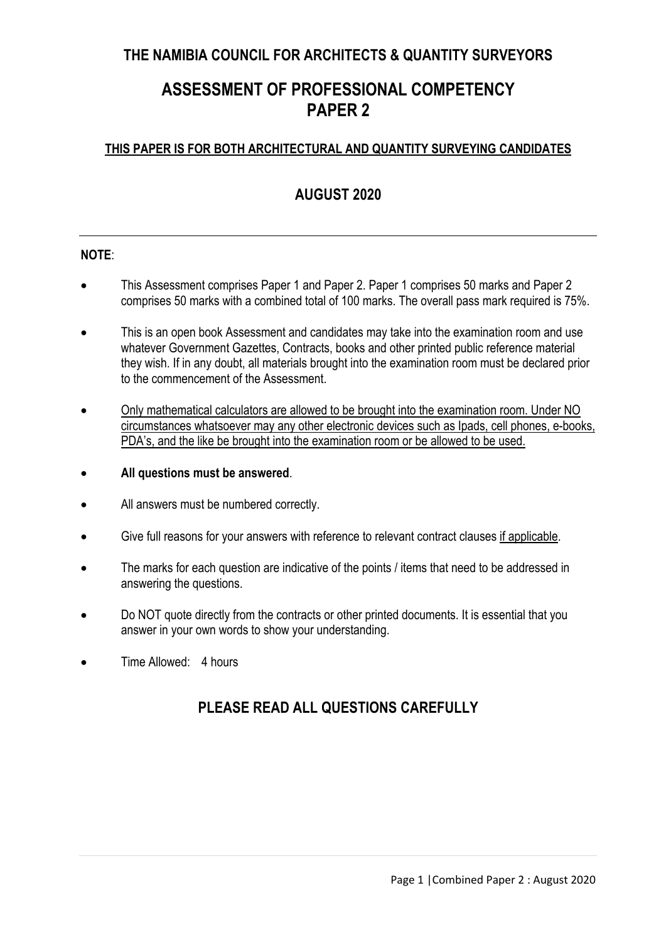# **THE NAMIBIA COUNCIL FOR ARCHITECTS & QUANTITY SURVEYORS**

# **ASSESSMENT OF PROFESSIONAL COMPETENCY PAPER 2**

### **THIS PAPER IS FOR BOTH ARCHITECTURAL AND QUANTITY SURVEYING CANDIDATES**

# **AUGUST 2020**

#### **NOTE**:

- This Assessment comprises Paper 1 and Paper 2. Paper 1 comprises 50 marks and Paper 2 comprises 50 marks with a combined total of 100 marks. The overall pass mark required is 75%.
- This is an open book Assessment and candidates may take into the examination room and use whatever Government Gazettes, Contracts, books and other printed public reference material they wish. If in any doubt, all materials brought into the examination room must be declared prior to the commencement of the Assessment.
- Only mathematical calculators are allowed to be brought into the examination room. Under NO circumstances whatsoever may any other electronic devices such as Ipads, cell phones, e-books, PDA's, and the like be brought into the examination room or be allowed to be used.
- **All questions must be answered**.
- All answers must be numbered correctly.
- Give full reasons for your answers with reference to relevant contract clauses if applicable.
- The marks for each question are indicative of the points / items that need to be addressed in answering the questions.
- Do NOT quote directly from the contracts or other printed documents. It is essential that you answer in your own words to show your understanding.
- Time Allowed: 4 hours

# **PLEASE READ ALL QUESTIONS CAREFULLY**